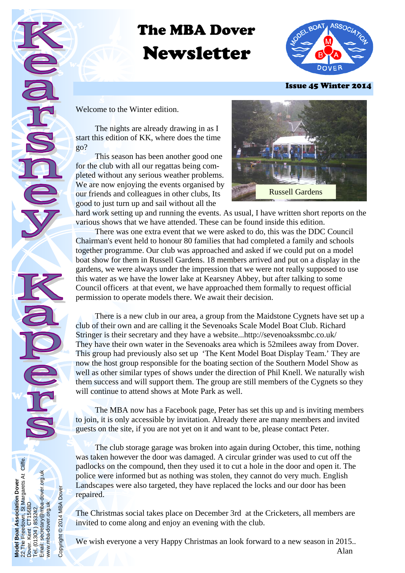# The MBA Dover Newsletter



Issue 45 Winter 2014

Welcome to the Winter edition.

**Model Boat Association Dover**  22 The Freedown, St Margarets At Cliffe.

**Boat** 

Boat Association Dover<br>Freedown, St Margarets At Cliffe.<br>Kent CT156BD

Dover. Kent CT156BD Tel. (01304 ) 853242. Email: secretary@mba-dover.org.uk

Email:

1304) 853242.<br>secretary@mba-dover.org.uk

www.mba-dover.org.uk

www.mba-dover.org.uk

Copyright © 2014 MBA Dover

Copyright @ 2014 MBA Dover

 The nights are already drawing in as I start this edition of KK, where does the time go?

 This season has been another good one for the club with all our regattas being completed without any serious weather problems. We are now enjoying the events organised by our friends and colleagues in other clubs, Its good to just turn up and sail without all the



hard work setting up and running the events. As usual, I have written short reports on the various shows that we have attended. These can be found inside this edition.

 There was one extra event that we were asked to do, this was the DDC Council Chairman's event held to honour 80 families that had completed a family and schools together programme. Our club was approached and asked if we could put on a model boat show for them in Russell Gardens. 18 members arrived and put on a display in the gardens, we were always under the impression that we were not really supposed to use this water as we have the lower lake at Kearsney Abbey, but after talking to some Council officers at that event, we have approached them formally to request official permission to operate models there. We await their decision.

 There is a new club in our area, a group from the Maidstone Cygnets have set up a club of their own and are calling it the Sevenoaks Scale Model Boat Club. Richard Stringer is their secretary and they have a website...http://sevenoakssmbc.co.uk/ They have their own water in the Sevenoaks area which is 52milees away from Dover. This group had previously also set up 'The Kent Model Boat Display Team.' They are now the host group responsible for the boating section of the Southern Model Show as well as other similar types of shows under the direction of Phil Knell. We naturally wish them success and will support them. The group are still members of the Cygnets so they will continue to attend shows at Mote Park as well.

 The MBA now has a Facebook page, Peter has set this up and is inviting members to join, it is only accessible by invitation. Already there are many members and invited guests on the site, if you are not yet on it and want to be, please contact Peter.

 The club storage garage was broken into again during October, this time, nothing was taken however the door was damaged. A circular grinder was used to cut off the padlocks on the compound, then they used it to cut a hole in the door and open it. The police were informed but as nothing was stolen, they cannot do very much. English Landscapes were also targeted, they have replaced the locks and our door has been repaired.

The Christmas social takes place on December 3rd at the Cricketers, all members are invited to come along and enjoy an evening with the club.

We wish everyone a very Happy Christmas an look forward to a new season in 2015.. **Alan**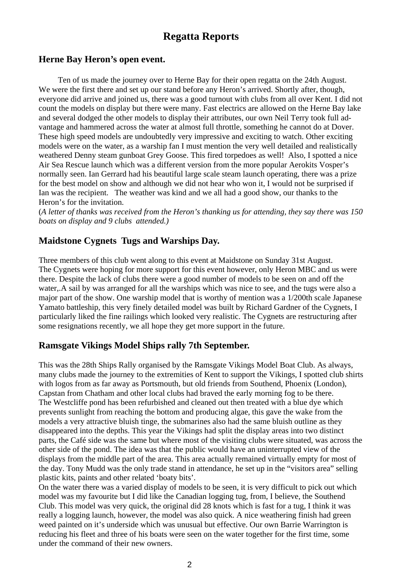## **Regatta Reports**

## **Herne Bay Heron's open event.**

 Ten of us made the journey over to Herne Bay for their open regatta on the 24th August. We were the first there and set up our stand before any Heron's arrived. Shortly after, though, everyone did arrive and joined us, there was a good turnout with clubs from all over Kent. I did not count the models on display but there were many. Fast electrics are allowed on the Herne Bay lake and several dodged the other models to display their attributes, our own Neil Terry took full advantage and hammered across the water at almost full throttle, something he cannot do at Dover. These high speed models are undoubtedly very impressive and exciting to watch. Other exciting models were on the water, as a warship fan I must mention the very well detailed and realistically weathered Denny steam gunboat Grey Goose. This fired torpedoes as well! Also, I spotted a nice Air Sea Rescue launch which was a different version from the more popular Aerokits Vosper's normally seen. Ian Gerrard had his beautiful large scale steam launch operating, there was a prize for the best model on show and although we did not hear who won it, I would not be surprised if Ian was the recipient. The weather was kind and we all had a good show, our thanks to the Heron's for the invitation.

(*A letter of thanks was received from the Heron's thanking us for attending, they say there was 150 boats on display and 9 clubs attended.)* 

## **Maidstone Cygnets Tugs and Warships Day.**

Three members of this club went along to this event at Maidstone on Sunday 31st August. The Cygnets were hoping for more support for this event however, only Heron MBC and us were there. Despite the lack of clubs there were a good number of models to be seen on and off the water,.A sail by was arranged for all the warships which was nice to see, and the tugs were also a major part of the show. One warship model that is worthy of mention was a 1/200th scale Japanese Yamato battleship, this very finely detailed model was built by Richard Gardner of the Cygnets, I particularly liked the fine railings which looked very realistic. The Cygnets are restructuring after some resignations recently, we all hope they get more support in the future.

## **Ramsgate Vikings Model Ships rally 7th September.**

This was the 28th Ships Rally organised by the Ramsgate Vikings Model Boat Club. As always, many clubs made the journey to the extremities of Kent to support the Vikings, I spotted club shirts with logos from as far away as Portsmouth, but old friends from Southend, Phoenix (London), Capstan from Chatham and other local clubs had braved the early morning fog to be there. The Westcliffe pond has been refurbished and cleaned out then treated with a blue dye which prevents sunlight from reaching the bottom and producing algae, this gave the wake from the models a very attractive bluish tinge, the submarines also had the same bluish outline as they disappeared into the depths. This year the Vikings had split the display areas into two distinct parts, the Café side was the same but where most of the visiting clubs were situated, was across the other side of the pond. The idea was that the public would have an uninterrupted view of the displays from the middle part of the area. This area actually remained virtually empty for most of the day. Tony Mudd was the only trade stand in attendance, he set up in the "visitors area" selling plastic kits, paints and other related 'boaty bits'.

On the water there was a varied display of models to be seen, it is very difficult to pick out which model was my favourite but I did like the Canadian logging tug, from, I believe, the Southend Club. This model was very quick, the original did 28 knots which is fast for a tug, I think it was really a logging launch, however, the model was also quick. A nice weathering finish had green weed painted on it's underside which was unusual but effective. Our own Barrie Warrington is reducing his fleet and three of his boats were seen on the water together for the first time, some under the command of their new owners.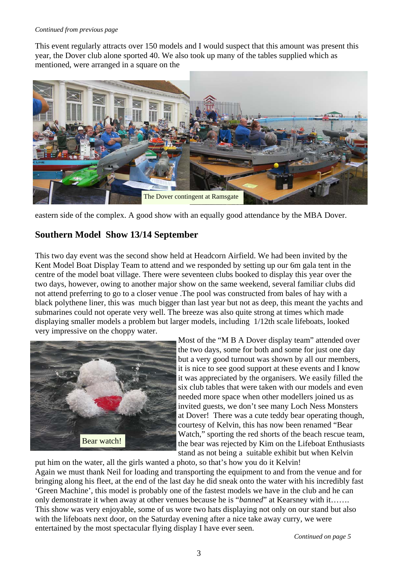#### *Continued from previous page*

This event regularly attracts over 150 models and I would suspect that this amount was present this year, the Dover club alone sported 40. We also took up many of the tables supplied which as mentioned, were arranged in a square on the



eastern side of the complex. A good show with an equally good attendance by the MBA Dover.

## **Southern Model Show 13/14 September**

This two day event was the second show held at Headcorn Airfield. We had been invited by the Kent Model Boat Display Team to attend and we responded by setting up our 6m gala tent in the centre of the model boat village. There were seventeen clubs booked to display this year over the two days, however, owing to another major show on the same weekend, several familiar clubs did not attend preferring to go to a closer venue .The pool was constructed from bales of hay with a black polythene liner, this was much bigger than last year but not as deep, this meant the yachts and submarines could not operate very well. The breeze was also quite strong at times which made displaying smaller models a problem but larger models, including 1/12th scale lifeboats, looked very impressive on the choppy water.



Most of the "M B A Dover display team" attended over the two days, some for both and some for just one day but a very good turnout was shown by all our members, it is nice to see good support at these events and I know it was appreciated by the organisers. We easily filled the six club tables that were taken with our models and even needed more space when other modellers joined us as invited guests, we don't see many Loch Ness Monsters at Dover! There was a cute teddy bear operating though, courtesy of Kelvin, this has now been renamed "Bear Watch," sporting the red shorts of the beach rescue team, the bear was rejected by Kim on the Lifeboat Enthusiasts stand as not being a suitable exhibit but when Kelvin

put him on the water, all the girls wanted a photo, so that's how you do it Kelvin! Again we must thank Neil for loading and transporting the equipment to and from the venue and for bringing along his fleet, at the end of the last day he did sneak onto the water with his incredibly fast 'Green Machine', this model is probably one of the fastest models we have in the club and he can only demonstrate it when away at other venues because he is "*banned*" at Kearsney with it……. This show was very enjoyable, some of us wore two hats displaying not only on our stand but also with the lifeboats next door, on the Saturday evening after a nice take away curry, we were entertained by the most spectacular flying display I have ever seen.

*Continued on page 5*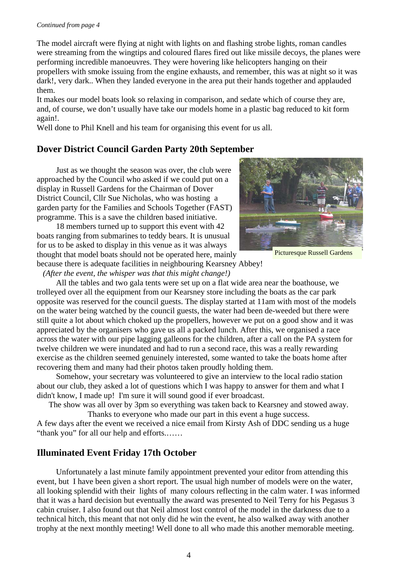#### *Continued from page 4*

The model aircraft were flying at night with lights on and flashing strobe lights, roman candles were streaming from the wingtips and coloured flares fired out like missile decoys, the planes were performing incredible manoeuvres. They were hovering like helicopters hanging on their propellers with smoke issuing from the engine exhausts, and remember, this was at night so it was dark!, very dark.. When they landed everyone in the area put their hands together and applauded them.

It makes our model boats look so relaxing in comparison, and sedate which of course they are, and, of course, we don't usually have take our models home in a plastic bag reduced to kit form again!.

Well done to Phil Knell and his team for organising this event for us all.

## **Dover District Council Garden Party 20th September**

 Just as we thought the season was over, the club were approached by the Council who asked if we could put on a display in Russell Gardens for the Chairman of Dover District Council, Cllr Sue Nicholas, who was hosting a garden party for the Families and Schools Together (FAST) programme. This is a save the children based initiative.

 18 members turned up to support this event with 42 boats ranging from submarines to teddy bears. It is unusual for us to be asked to display in this venue as it was always thought that model boats should not be operated here, mainly because there is adequate facilities in neighbouring Kearsney Abbey!

*(After the event, the whisper was that this might change!)* 



Picturesque Russell Gardens

 All the tables and two gala tents were set up on a flat wide area near the boathouse, we trolleyed over all the equipment from our Kearsney store including the boats as the car park opposite was reserved for the council guests. The display started at 11am with most of the models on the water being watched by the council guests, the water had been de-weeded but there were still quite a lot about which choked up the propellers, however we put on a good show and it was appreciated by the organisers who gave us all a packed lunch. After this, we organised a race across the water with our pipe lagging galleons for the children, after a call on the PA system for twelve children we were inundated and had to run a second race, this was a really rewarding exercise as the children seemed genuinely interested, some wanted to take the boats home after recovering them and many had their photos taken proudly holding them.

 Somehow, your secretary was volunteered to give an interview to the local radio station about our club, they asked a lot of questions which I was happy to answer for them and what I didn't know, I made up! I'm sure it will sound good if ever broadcast.

The show was all over by 3pm so everything was taken back to Kearsney and stowed away. Thanks to everyone who made our part in this event a huge success.

A few days after the event we received a nice email from Kirsty Ash of DDC sending us a huge "thank you" for all our help and efforts.……

## **Illuminated Event Friday 17th October**

 Unfortunately a last minute family appointment prevented your editor from attending this event, but I have been given a short report. The usual high number of models were on the water, all looking splendid with their lights of many colours reflecting in the calm water. I was informed that it was a hard decision but eventually the award was presented to Neil Terry for his Pegasus 3 cabin cruiser. I also found out that Neil almost lost control of the model in the darkness due to a technical hitch, this meant that not only did he win the event, he also walked away with another trophy at the next monthly meeting! Well done to all who made this another memorable meeting.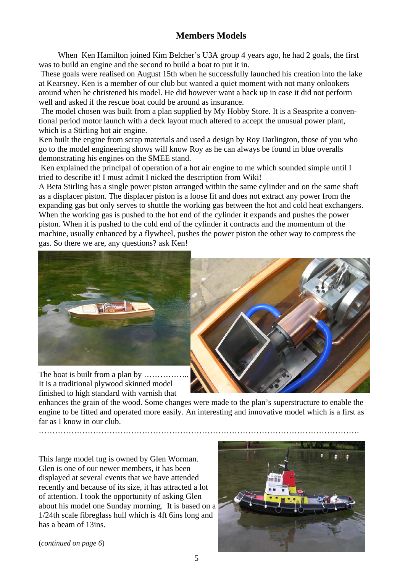## **Members Models**

 When Ken Hamilton joined Kim Belcher's U3A group 4 years ago, he had 2 goals, the first was to build an engine and the second to build a boat to put it in.

 These goals were realised on August 15th when he successfully launched his creation into the lake at Kearsney. Ken is a member of our club but wanted a quiet moment with not many onlookers around when he christened his model. He did however want a back up in case it did not perform well and asked if the rescue boat could be around as insurance.

 The model chosen was built from a plan supplied by My Hobby Store. It is a Seasprite a conventional period motor launch with a deck layout much altered to accept the unusual power plant, which is a Stirling hot air engine.

Ken built the engine from scrap materials and used a design by Roy Darlington, those of you who go to the model engineering shows will know Roy as he can always be found in blue overalls demonstrating his engines on the SMEE stand.

 Ken explained the principal of operation of a hot air engine to me which sounded simple until I tried to describe it! I must admit I nicked the description from Wiki!

A Beta Stirling has a single power piston arranged within the same cylinder and on the same shaft as a displacer piston. The displacer piston is a loose fit and does not extract any power from the expanding gas but only serves to shuttle the working gas between the hot and cold heat exchangers. When the working gas is pushed to the hot end of the cylinder it expands and pushes the power piston. When it is pushed to the cold end of the cylinder it contracts and the momentum of the machine, usually enhanced by a flywheel, pushes the power piston the other way to compress the gas. So there we are, any questions? ask Ken!



The boat is built from a plan by ............ It is a traditional plywood skinned model finished to high standard with varnish that



enhances the grain of the wood. Some changes were made to the plan's superstructure to enable the engine to be fitted and operated more easily. An interesting and innovative model which is a first as far as I know in our club. ……………………………………………………………………………………………………….

This large model tug is owned by Glen Worman. Glen is one of our newer members, it has been displayed at several events that we have attended recently and because of its size, it has attracted a lot of attention. I took the opportunity of asking Glen about his model one Sunday morning. It is based on a 1/24th scale fibreglass hull which is 4ft 6ins long and has a beam of 13ins.



(*continued on page 6*)